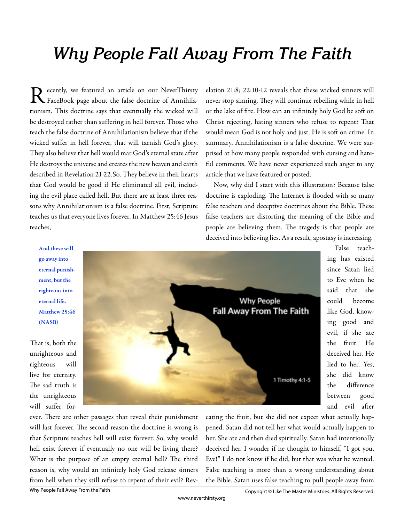## **Why People Fall Away From The Faith**

R ecently, we featured an article on our NeverThirsty<br>FaceBook page about the false doctrine of Annihilaecently, we featured an article on our NeverThirsty tionism. This doctrine says that eventually the wicked will be destroyed rather than suffering in hell forever. Those who teach the false doctrine of Annihilationism believe that if the wicked suffer in hell forever, that will tarnish God's glory. They also believe that hell would mar God's eternal state after He destroys the universe and creates the new heaven and earth described in Revelation 21-22.So. They believe in their hearts that God would be good if He eliminated all evil, including the evil place called hell. But there are at least three reasons why Annihilationism is a false doctrine. First, Scripture teaches us that everyone lives forever. In Matthew 25:46 Jesus teaches,

elation 21:8; 22:10-12 reveals that these wicked sinners will never stop sinning. They will continue rebelling while in hell or the lake of fire. How can an infinitely holy God be soft on Christ rejecting, hating sinners who refuse to repent? That would mean God is not holy and just. He is soft on crime. In summary, Annihilationism is a false doctrine. We were surprised at how many people responded with cursing and hateful comments. We have never experienced such anger to any article that we have featured or posted.

Now, why did I start with this illustration? Because false doctrine is exploding. The Internet is flooded with so many false teachers and deceptive doctrines about the Bible. These false teachers are distorting the meaning of the Bible and people are believing them. The tragedy is that people are deceived into believing lies. As a result, apostasy is increasing.

## And these will go away into eternal punishment, but the righteous into eternal life. Matthew 25:46 (NASB)

That is, both the unrighteous and righteous will live for eternity. The sad truth is the unrighteous will suffer for-



False teaching has existed since Satan lied to Eve when he said that she could become like God, knowing good and evil, if she ate the fruit. He deceived her. He lied to her. Yes, she did know the difference between good and evil after

ever. There are other passages that reveal their punishment will last forever. The second reason the doctrine is wrong is that Scripture teaches hell will exist forever. So, why would hell exist forever if eventually no one will be living there? What is the purpose of an empty eternal hell? The third reason is, why would an infinitely holy God release sinners from hell when they still refuse to repent of their evil? Reveating the fruit, but she did not expect what actually happened. Satan did not tell her what would actually happen to her. She ate and then died spiritually. Satan had intentionally deceived her. I wonder if he thought to himself, "I got you, Eve!" I do not know if he did, but that was what he wanted. False teaching is more than a wrong understanding about the Bible. Satan uses false teaching to pull people away from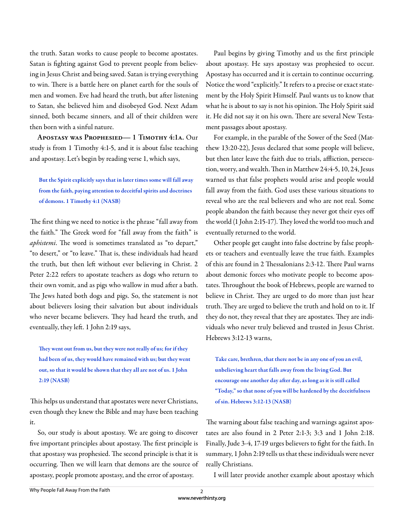the truth. Satan works to cause people to become apostates. Satan is fighting against God to prevent people from believing in Jesus Christ and being saved. Satan is trying everything to win. There is a battle here on planet earth for the souls of men and women. Eve had heard the truth, but after listening to Satan, she believed him and disobeyed God. Next Adam sinned, both became sinners, and all of their children were then born with a sinful nature.

**Apostasy was Prophesied— 1 Timothy 4:1a.** Our study is from 1 Timothy 4:1-5, and it is about false teaching and apostasy. Let's begin by reading verse 1, which says,

But the Spirit explicitly says that in later times some will fall away from the faith, paying attention to deceitful spirits and doctrines of demons. 1 Timothy 4:1 (NASB)

The first thing we need to notice is the phrase "fall away from the faith." The Greek word for "fall away from the faith" is *aphistemi*. The word is sometimes translated as "to depart," "to desert," or "to leave." That is, these individuals had heard the truth, but then left without ever believing in Christ. 2 Peter 2:22 refers to apostate teachers as dogs who return to their own vomit, and as pigs who wallow in mud after a bath. The Jews hated both dogs and pigs. So, the statement is not about believers losing their salvation but about individuals who never became believers. They had heard the truth, and eventually, they left. 1 John 2:19 says,

They went out from us, but they were not really of us; for if they had been of us, they would have remained with us; but they went out, so that it would be shown that they all are not of us. 1 John 2:19 (NASB)

This helps us understand that apostates were never Christians, even though they knew the Bible and may have been teaching it.

So, our study is about apostasy. We are going to discover five important principles about apostasy. The first principle is that apostasy was prophesied. The second principle is that it is occurring. Then we will learn that demons are the source of apostasy, people promote apostasy, and the error of apostasy.

Paul begins by giving Timothy and us the first principle about apostasy. He says apostasy was prophesied to occur. Apostasy has occurred and it is certain to continue occurring. Notice the word "explicitly." It refers to a precise or exact statement by the Holy Spirit Himself. Paul wants us to know that what he is about to say is not his opinion. The Holy Spirit said it. He did not say it on his own. There are several New Testament passages about apostasy.

For example, in the parable of the Sower of the Seed (Matthew 13:20-22), Jesus declared that some people will believe, but then later leave the faith due to trials, affliction, persecution, worry, and wealth. Then in Matthew 24:4-5, 10, 24, Jesus warned us that false prophets would arise and people would fall away from the faith. God uses these various situations to reveal who are the real believers and who are not real. Some people abandon the faith because they never got their eyes off the world (1 John 2:15-17). They loved the world too much and eventually returned to the world.

Other people get caught into false doctrine by false prophets or teachers and eventually leave the true faith. Examples of this are found in 2 Thessalonians 2:3-12. There Paul warns about demonic forces who motivate people to become apostates. Throughout the book of Hebrews, people are warned to believe in Christ. They are urged to do more than just hear truth. They are urged to believe the truth and hold on to it. If they do not, they reveal that they are apostates. They are individuals who never truly believed and trusted in Jesus Christ. Hebrews 3:12-13 warns,

Take care, brethren, that there not be in any one of you an evil, unbelieving heart that falls away from the living God. But encourage one another day after day, as long as it is still called "Today," so that none of you will be hardened by the deceitfulness of sin. Hebrews 3:12-13 (NASB)

The warning about false teaching and warnings against apostates are also found in 2 Peter 2:1-3; 3:3 and 1 John 2:18. Finally, Jude 3-4, 17-19 urges believers to fight for the faith. In summary, 1 John 2:19 tells us that these individuals were never really Christians.

I will later provide another example about apostasy which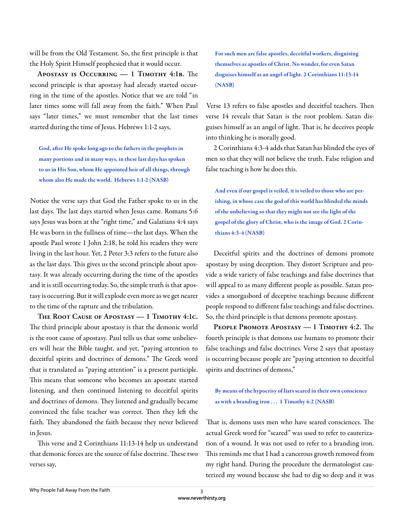will be from the Old Testament. So, the first principle is that the Holy Spirit Himself prophesied that it would occur.

APOSTASY IS OCCURRING — 1 TIMOTHY 4:1B. The second principle is that apostasy had already started occurring in the time of the apostles. Notice that we are told "in later times some will fall away from the faith." When Paul says "later times," we must remember that the last times started during the time of Jesus. Hebrews 1:1-2 says,

God, after He spoke long ago to the fathers in the prophets in many portions and in many ways, in these last days has spoken to us in His Son, whom He appointed heir of all things, through whom also He made the world. Hebrews 1:1-2 (NASB)

Notice the verse says that God the Father spoke to us in the last days. The last days started when Jesus came. Romans 5:6 says Jesus was born at the "right time," and Galatians 4:4 says He was born in the fullness of time—the last days. When the apostle Paul wrote 1 John 2:18, he told his readers they were living in the last hour. Yet, 2 Peter 3:3 refers to the future also as the last days. This gives us the second principle about apostasy. It was already occurring during the time of the apostles and it is still occurring today. So, the simple truth is that apostasy is occurring. But it will explode even more as we get nearer to the time of the rapture and the tribulation.

**The Root Cause of Apostasy — 1 Timothy 4:1c.**  The third principle about apostasy is that the demonic world is the root cause of apostasy. Paul tells us that some unbelievers will hear the Bible taught, and yet, "paying attention to deceitful spirits and doctrines of demons." The Greek word that is translated as "paying attention" is a present participle. This means that someone who becomes an apostate started listening, and then continued listening to deceitful spirits and doctrines of demons. They listened and gradually became convinced the false teacher was correct. Then they left the faith. They abandoned the faith because they never believed in Jesus.

This verse and 2 Corinthians 11:13-14 help us understand that demonic forces are the source of false doctrine. These two verses say,

For such men are false apostles, deceitful workers, disguising themselves as apostles of Christ. No wonder, for even Satan disguises himself as an angel of light. 2 Corinthians 11:13-14 (NASB)

Verse 13 refers to false apostles and deceitful teachers. Then verse 14 reveals that Satan is the root problem. Satan disguises himself as an angel of light. That is, he deceives people into thinking he is morally good.

2 Corinthians 4:3-4 adds that Satan has blinded the eyes of men so that they will not believe the truth. False religion and false teaching is how he does this.

And even if our gospel is veiled, it is veiled to those who are perishing, in whose case the god of this world has blinded the minds of the unbelieving so that they might not see the light of the gospel of the glory of Christ, who is the image of God. 2 Corinthians 4:3-4 (NASB)

Deceitful spirits and the doctrines of demons promote apostasy by using deception. They distort Scripture and provide a wide variety of false teachings and false doctrines that will appeal to as many different people as possible. Satan provides a smorgasbord of deceptive teachings because different people respond to different false teachings and false doctrines. So, the third principle is that demons promote apostasy.

**PEOPLE PROMOTE APOSTASY — 1 TIMOTHY 4:2.** The fourth principle is that demons use humans to promote their false teachings and false doctrines. Verse 2 says that apostasy is occurring because people are "paying attention to deceitful spirits and doctrines of demons,"

By means of the hypocrisy of liars seared in their own conscience as with a branding iron . . . 1 Timothy 4:2 (NASB)

That is, demons uses men who have seared consciences. The actual Greek word for "seared" was used to refer to cauterization of a wound. It was not used to refer to a branding iron. This reminds me that I had a cancerous growth removed from my right hand. During the procedure the dermatologist cauterized my wound because she had to dig so deep and it was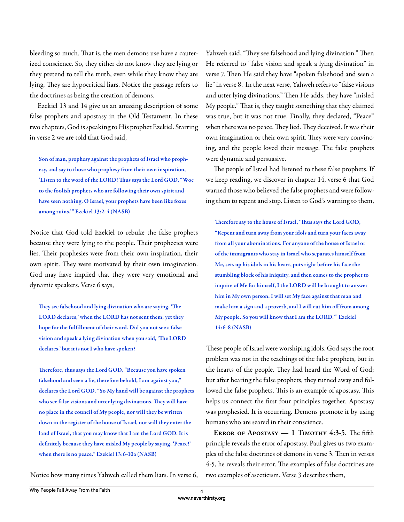bleeding so much. That is, the men demons use have a cauterized conscience. So, they either do not know they are lying or they pretend to tell the truth, even while they know they are lying. They are hypocritical liars. Notice the passage refers to the doctrines as being the creation of demons.

Ezekiel 13 and 14 give us an amazing description of some false prophets and apostasy in the Old Testament. In these two chapters, God is speaking to His prophet Ezekiel. Starting in verse 2 we are told that God said,

Son of man, prophesy against the prophets of Israel who prophesy, and say to those who prophesy from their own inspiration, 'Listen to the word of the LORD! Thus says the Lord GOD, "Woe to the foolish prophets who are following their own spirit and have seen nothing. O Israel, your prophets have been like foxes among ruins.'" Ezekiel 13:2-4 (NASB)

Notice that God told Ezekiel to rebuke the false prophets because they were lying to the people. Their prophecies were lies. Their prophesies were from their own inspiration, their own spirit. They were motivated by their own imagination. God may have implied that they were very emotional and dynamic speakers. Verse 6 says,

They see falsehood and lying divination who are saying, 'The LORD declares,' when the LORD has not sent them; yet they hope for the fulfillment of their word. Did you not see a false vision and speak a lying divination when you said, 'The LORD declares,' but it is not I who have spoken?

Therefore, thus says the Lord GOD, "Because you have spoken falsehood and seen a lie, therefore behold, I am against you," declares the Lord GOD. "So My hand will be against the prophets who see false visions and utter lying divinations. They will have no place in the council of My people, nor will they be written down in the register of the house of Israel, nor will they enter the land of Israel, that you may know that I am the Lord GOD. It is definitely because they have misled My people by saying, 'Peace!' when there is no peace." Ezekiel 13:6-10a (NASB)

Notice how many times Yahweh called them liars. In verse 6,

Yahweh said, "They see falsehood and lying divination." Then He referred to "false vision and speak a lying divination" in verse 7. Then He said they have "spoken falsehood and seen a lie" in verse 8. In the next verse, Yahweh refers to "false visions and utter lying divinations." Then He adds, they have "misled My people." That is, they taught something that they claimed was true, but it was not true. Finally, they declared, "Peace" when there was no peace. They lied. They deceived. It was their own imagination or their own spirit. They were very convincing, and the people loved their message. The false prophets were dynamic and persuasive.

The people of Israel had listened to these false prophets. If we keep reading, we discover in chapter 14, verse 6 that God warned those who believed the false prophets and were following them to repent and stop. Listen to God's warning to them,

Therefore say to the house of Israel, 'Thus says the Lord GOD, "Repent and turn away from your idols and turn your faces away from all your abominations. For anyone of the house of Israel or of the immigrants who stay in Israel who separates himself from Me, sets up his idols in his heart, puts right before his face the stumbling block of his iniquity, and then comes to the prophet to inquire of Me for himself, I the LORD will be brought to answer him in My own person. I will set My face against that man and make him a sign and a proverb, and I will cut him off from among My people. So you will know that I am the LORD.'" Ezekiel 14:6-8 (NASB)

These people of Israel were worshiping idols. God says the root problem was not in the teachings of the false prophets, but in the hearts of the people. They had heard the Word of God; but after hearing the false prophets, they turned away and followed the false prophets. This is an example of apostasy. This helps us connect the first four principles together. Apostasy was prophesied. It is occurring. Demons promote it by using humans who are seared in their conscience.

ERROR OF APOSTASY  $-1$  TIMOTHY 4:3-5. The fifth principle reveals the error of apostasy. Paul gives us two examples of the false doctrines of demons in verse 3. Then in verses 4-5, he reveals their error. The examples of false doctrines are two examples of asceticism. Verse 3 describes them,